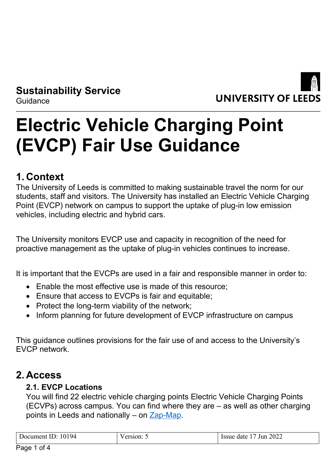**Sustainability Service Guidance** 



# **Electric Vehicle Charging Point (EVCP) Fair Use Guidance**

## **1. Context**

The University of Leeds is committed to making sustainable travel the norm for our students, staff and visitors. The University has installed an Electric Vehicle Charging Point (EVCP) network on campus to support the uptake of plug-in low emission vehicles, including electric and hybrid cars.

The University monitors EVCP use and capacity in recognition of the need for proactive management as the uptake of plug-in vehicles continues to increase.

It is important that the EVCPs are used in a fair and responsible manner in order to:

- Enable the most effective use is made of this resource;
- Ensure that access to EVCPs is fair and equitable:
- Protect the long-term viability of the network;
- Inform planning for future development of EVCP infrastructure on campus

This guidance outlines provisions for the fair use of and access to the University's EVCP network.

### **2. Access**

#### **2.1. EVCP Locations**

You will find 22 electric vehicle charging points Electric Vehicle Charging Points (ECVPs) across campus. You can find where they are – as well as other charging points in Leeds and nationally – on [Zap-Map.](https://www.zap-map.com/)

| Document ID: 10194 | $/$ ersion: 5 | Jun 2022<br>$\vert$ Issue date 17 $\bar{ }$ |
|--------------------|---------------|---------------------------------------------|
|                    |               |                                             |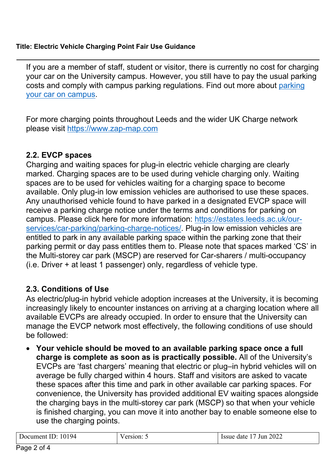#### **Title: Electric Vehicle Charging Point Fair Use Guidance**

If you are a member of staff, student or visitor, there is currently no cost for charging your car on the University campus. However, you still have to pay the usual parking costs and comply with campus parking regulations. Find out more about [parking](https://estates.leeds.ac.uk/our-services/car-parking/)  [your car on campus](https://estates.leeds.ac.uk/our-services/car-parking/).

For more charging points throughout Leeds and the wider UK Charge network please visit [https://www.zap-map.com](https://www.zap-map.com/)

#### **2.2. EVCP spaces**

Charging and waiting spaces for plug-in electric vehicle charging are clearly marked. Charging spaces are to be used during vehicle charging only. Waiting spaces are to be used for vehicles waiting for a charging space to become available. Only plug-in low emission vehicles are authorised to use these spaces. Any unauthorised vehicle found to have parked in a designated EVCP space will receive a parking charge notice under the terms and conditions for parking on campus. Please click here for more information: [https://estates.leeds.ac.uk/our](https://estates.leeds.ac.uk/our-services/car-parking/parking-charge-notices/)[services/car-parking/parking-charge-notices/.](https://estates.leeds.ac.uk/our-services/car-parking/parking-charge-notices/) Plug-in low emission vehicles are entitled to park in any available parking space within the parking zone that their parking permit or day pass entitles them to. Please note that spaces marked 'CS' in the Multi-storey car park (MSCP) are reserved for Car-sharers / multi-occupancy (i.e. Driver + at least 1 passenger) only, regardless of vehicle type.

#### **2.3. Conditions of Use**

As electric/plug-in hybrid vehicle adoption increases at the University, it is becoming increasingly likely to encounter instances on arriving at a charging location where all available EVCPs are already occupied. In order to ensure that the University can manage the EVCP network most effectively, the following conditions of use should be followed:

 **Your vehicle should be moved to an available parking space once a full charge is complete as soon as is practically possible.** All of the University's EVCPs are 'fast chargers' meaning that electric or plug–in hybrid vehicles will on average be fully charged within 4 hours. Staff and visitors are asked to vacate these spaces after this time and park in other available car parking spaces. For convenience, the University has provided additional EV waiting spaces alongside the charging bays in the multi-storey car park (MSCP) so that when your vehicle is finished charging, you can move it into another bay to enable someone else to use the charging points.

| 10194<br>Jocument<br>ΠD | 10n: | 2022<br>Jun<br>date<br>Issue |
|-------------------------|------|------------------------------|
|                         |      |                              |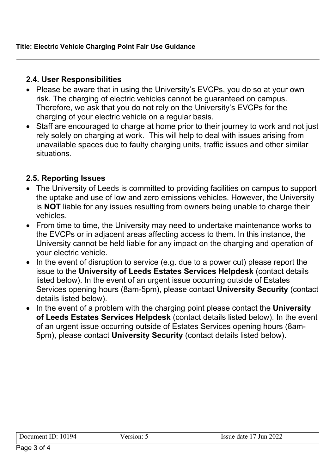#### **2.4. User Responsibilities**

- Please be aware that in using the University's EVCPs, you do so at your own risk. The charging of electric vehicles cannot be guaranteed on campus. Therefore, we ask that you do not rely on the University's EVCPs for the charging of your electric vehicle on a regular basis.
- Staff are encouraged to charge at home prior to their journey to work and not just rely solely on charging at work. This will help to deal with issues arising from unavailable spaces due to faulty charging units, traffic issues and other similar situations.

#### **2.5. Reporting Issues**

- The University of Leeds is committed to providing facilities on campus to support the uptake and use of low and zero emissions vehicles. However, the University is **NOT** liable for any issues resulting from owners being unable to charge their vehicles.
- From time to time, the University may need to undertake maintenance works to the EVCPs or in adjacent areas affecting access to them. In this instance, the University cannot be held liable for any impact on the charging and operation of your electric vehicle.
- In the event of disruption to service (e.g. due to a power cut) please report the issue to the **University of Leeds Estates Services Helpdesk** (contact details listed below). In the event of an urgent issue occurring outside of Estates Services opening hours (8am-5pm), please contact **University Security** (contact details listed below).
- In the event of a problem with the charging point please contact the **University of Leeds Estates Services Helpdesk** (contact details listed below). In the event of an urgent issue occurring outside of Estates Services opening hours (8am-5pm), please contact **University Security** (contact details listed below).

| 10194<br>Document<br><br>ID | ersion: | 2022<br><b>Issue</b><br>Jun<br>date |
|-----------------------------|---------|-------------------------------------|
|                             |         |                                     |